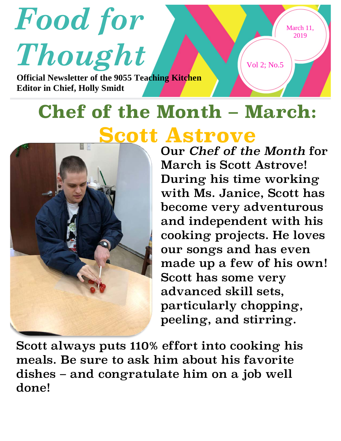

## **Chef of the Month – March: Scott Astrove**



Our *Chef of the Month* for March is Scott Astrove! During his time working with Ms. Janice, Scott has become very adventurous and independent with his cooking projects. He loves our songs and has even made up a few of his own! Scott has some very advanced skill sets, particularly chopping, peeling, and stirring.

Scott always puts 110% effort into cooking his meals. Be sure to ask him about his favorite dishes – and congratulate him on a job well done!